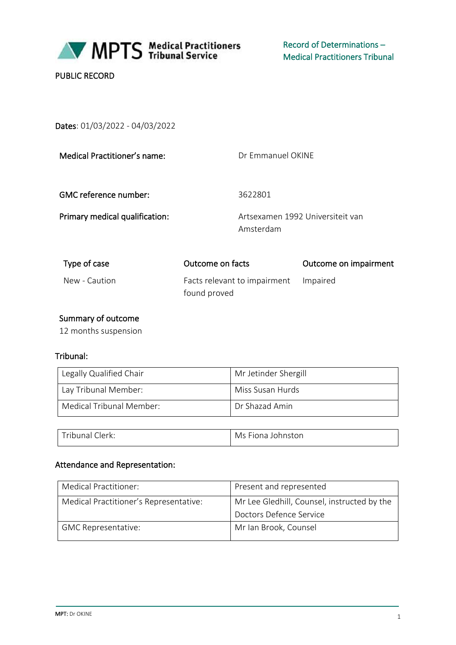

PUBLIC RECORD

Dates: 01/03/2022 - 04/03/2022

| Medical Practitioner's name:   | Dr Emmanuel OKINE                            |                                  |
|--------------------------------|----------------------------------------------|----------------------------------|
| <b>GMC</b> reference number:   | 3622801                                      |                                  |
| Primary medical qualification: | Amsterdam                                    | Artsexamen 1992 Universiteit van |
| Type of case                   | Outcome on facts                             | Outcome on impairment            |
| New - Caution                  | Facts relevant to impairment<br>found proved | Impaired                         |

# Summary of outcome

12 months suspension

#### Tribunal:

| Legally Qualified Chair  | Mr Jetinder Shergill |
|--------------------------|----------------------|
| Lay Tribunal Member:     | Miss Susan Hurds     |
| Medical Tribunal Member: | Dr Shazad Amin       |
|                          |                      |

| Tribunal Clerk: | Ms Fiona Johnston |
|-----------------|-------------------|
|                 |                   |

# Attendance and Representation:

| Medical Practitioner:                  | Present and represented                     |
|----------------------------------------|---------------------------------------------|
| Medical Practitioner's Representative: | Mr Lee Gledhill, Counsel, instructed by the |
|                                        | Doctors Defence Service                     |
| <b>GMC Representative:</b>             | Mr Ian Brook, Counsel                       |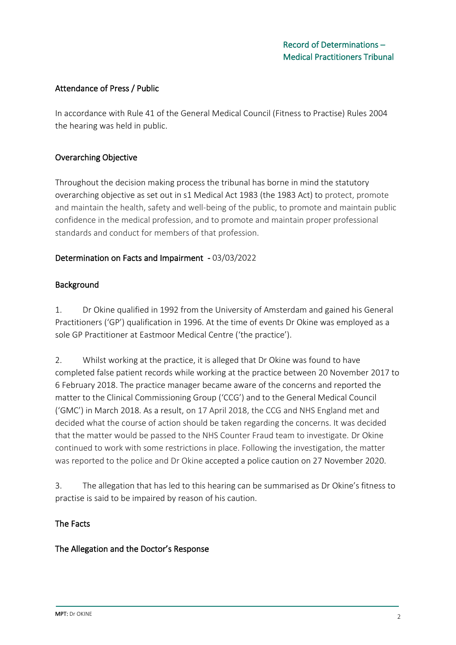## Attendance of Press / Public

In accordance with Rule 41 of the General Medical Council (Fitness to Practise) Rules 2004 the hearing was held in public.

## Overarching Objective

Throughout the decision making process the tribunal has borne in mind the statutory overarching objective as set out in s1 Medical Act 1983 (the 1983 Act) to protect, promote and maintain the health, safety and well-being of the public, to promote and maintain public confidence in the medical profession, and to promote and maintain proper professional standards and conduct for members of that profession.

#### Determination on Facts and Impairment - 03/03/2022

#### Background

1. Dr Okine qualified in 1992 from the University of Amsterdam and gained his General Practitioners ('GP') qualification in 1996. At the time of events Dr Okine was employed as a sole GP Practitioner at Eastmoor Medical Centre ('the practice').

2. Whilst working at the practice, it is alleged that Dr Okine was found to have completed false patient records while working at the practice between 20 November 2017 to 6 February 2018. The practice manager became aware of the concerns and reported the matter to the Clinical Commissioning Group ('CCG') and to the General Medical Council ('GMC') in March 2018. As a result, on 17 April 2018, the CCG and NHS England met and decided what the course of action should be taken regarding the concerns. It was decided that the matter would be passed to the NHS Counter Fraud team to investigate. Dr Okine continued to work with some restrictions in place. Following the investigation, the matter was reported to the police and Dr Okine accepted a police caution on 27 November 2020.

3. The allegation that has led to this hearing can be summarised as Dr Okine's fitness to practise is said to be impaired by reason of his caution.

#### The Facts

#### The Allegation and the Doctor's Response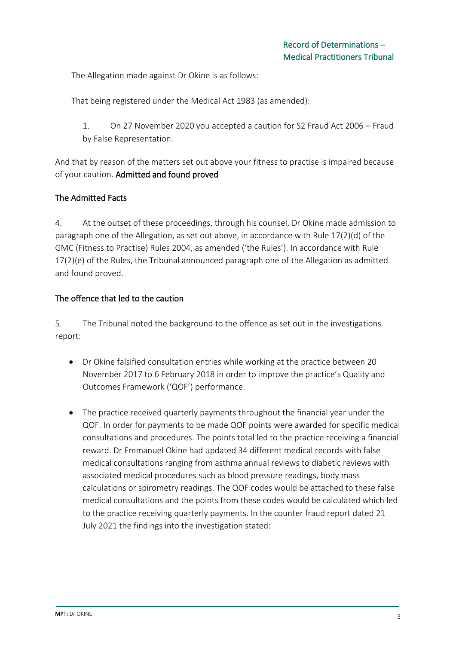The Allegation made against Dr Okine is as follows:

That being registered under the Medical Act 1983 (as amended):

1. On 27 November 2020 you accepted a caution for S2 Fraud Act 2006 – Fraud by False Representation.

And that by reason of the matters set out above your fitness to practise is impaired because of your caution. Admitted and found proved

## The Admitted Facts

4. At the outset of these proceedings, through his counsel, Dr Okine made admission to paragraph one of the Allegation, as set out above, in accordance with Rule 17(2)(d) of the GMC (Fitness to Practise) Rules 2004, as amended ('the Rules'). In accordance with Rule 17(2)(e) of the Rules, the Tribunal announced paragraph one of the Allegation as admitted and found proved.

## The offence that led to the caution

5. The Tribunal noted the background to the offence as set out in the investigations report:

- Dr Okine falsified consultation entries while working at the practice between 20 November 2017 to 6 February 2018 in order to improve the practice's Quality and Outcomes Framework ('QOF') performance.
- The practice received quarterly payments throughout the financial year under the QOF. In order for payments to be made QOF points were awarded for specific medical consultations and procedures. The points total led to the practice receiving a financial reward. Dr Emmanuel Okine had updated 34 different medical records with false medical consultations ranging from asthma annual reviews to diabetic reviews with associated medical procedures such as blood pressure readings, body mass calculations or spirometry readings. The QOF codes would be attached to these false medical consultations and the points from these codes would be calculated which led to the practice receiving quarterly payments. In the counter fraud report dated 21 July 2021 the findings into the investigation stated: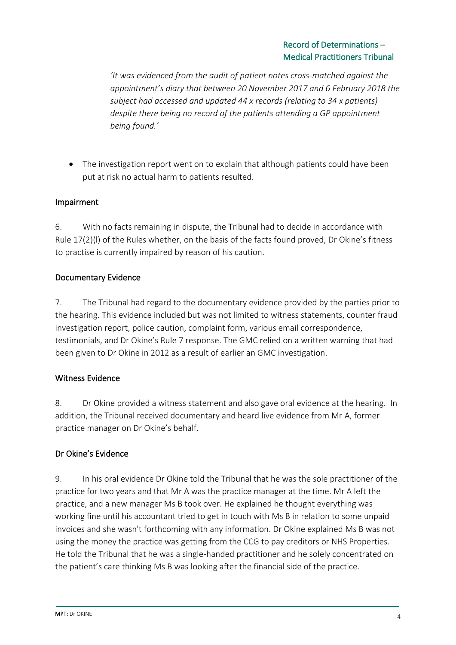*'It was evidenced from the audit of patient notes cross-matched against the appointment's diary that between 20 November 2017 and 6 February 2018 the subject had accessed and updated 44 x records (relating to 34 x patients) despite there being no record of the patients attending a GP appointment being found.'*

• The investigation report went on to explain that although patients could have been put at risk no actual harm to patients resulted.

## Impairment

6. With no facts remaining in dispute, the Tribunal had to decide in accordance with Rule 17(2)(l) of the Rules whether, on the basis of the facts found proved, Dr Okine's fitness to practise is currently impaired by reason of his caution.

#### Documentary Evidence

7. The Tribunal had regard to the documentary evidence provided by the parties prior to the hearing. This evidence included but was not limited to witness statements, counter fraud investigation report, police caution, complaint form, various email correspondence, testimonials, and Dr Okine's Rule 7 response. The GMC relied on a written warning that had been given to Dr Okine in 2012 as a result of earlier an GMC investigation.

#### Witness Evidence

8. Dr Okine provided a witness statement and also gave oral evidence at the hearing. In addition, the Tribunal received documentary and heard live evidence from Mr A, former practice manager on Dr Okine's behalf.

# Dr Okine's Evidence

9. In his oral evidence Dr Okine told the Tribunal that he was the sole practitioner of the practice for two years and that Mr A was the practice manager at the time. Mr A left the practice, and a new manager Ms B took over. He explained he thought everything was working fine until his accountant tried to get in touch with Ms B in relation to some unpaid invoices and she wasn't forthcoming with any information. Dr Okine explained Ms B was not using the money the practice was getting from the CCG to pay creditors or NHS Properties. He told the Tribunal that he was a single-handed practitioner and he solely concentrated on the patient's care thinking Ms B was looking after the financial side of the practice.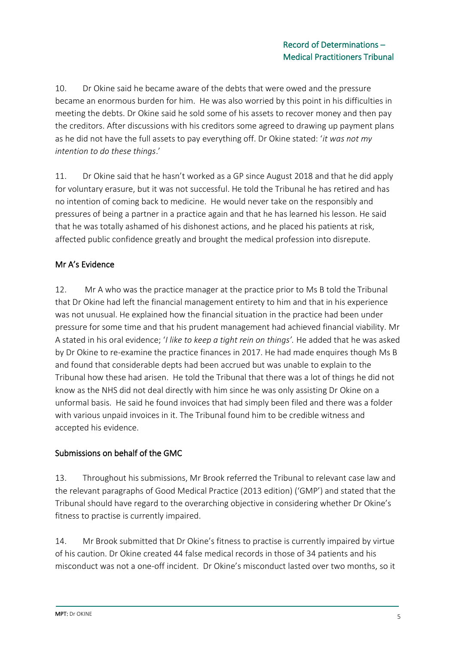10. Dr Okine said he became aware of the debts that were owed and the pressure became an enormous burden for him. He was also worried by this point in his difficulties in meeting the debts. Dr Okine said he sold some of his assets to recover money and then pay the creditors. After discussions with his creditors some agreed to drawing up payment plans as he did not have the full assets to pay everything off. Dr Okine stated: '*it was not my intention to do these things*.'

11. Dr Okine said that he hasn't worked as a GP since August 2018 and that he did apply for voluntary erasure, but it was not successful. He told the Tribunal he has retired and has no intention of coming back to medicine. He would never take on the responsibly and pressures of being a partner in a practice again and that he has learned his lesson. He said that he was totally ashamed of his dishonest actions, and he placed his patients at risk, affected public confidence greatly and brought the medical profession into disrepute.

# Mr A's Evidence

12. Mr A who was the practice manager at the practice prior to Ms B told the Tribunal that Dr Okine had left the financial management entirety to him and that in his experience was not unusual. He explained how the financial situation in the practice had been under pressure for some time and that his prudent management had achieved financial viability. Mr A stated in his oral evidence; '*I like to keep a tight rein on things'.* He added that he was asked by Dr Okine to re-examine the practice finances in 2017. He had made enquires though Ms B and found that considerable depts had been accrued but was unable to explain to the Tribunal how these had arisen. He told the Tribunal that there was a lot of things he did not know as the NHS did not deal directly with him since he was only assisting Dr Okine on a unformal basis. He said he found invoices that had simply been filed and there was a folder with various unpaid invoices in it. The Tribunal found him to be credible witness and accepted his evidence.

# Submissions on behalf of the GMC

13. Throughout his submissions, Mr Brook referred the Tribunal to relevant case law and the relevant paragraphs of Good Medical Practice (2013 edition) ('GMP') and stated that the Tribunal should have regard to the overarching objective in considering whether Dr Okine's fitness to practise is currently impaired.

14. Mr Brook submitted that Dr Okine's fitness to practise is currently impaired by virtue of his caution. Dr Okine created 44 false medical records in those of 34 patients and his misconduct was not a one-off incident. Dr Okine's misconduct lasted over two months, so it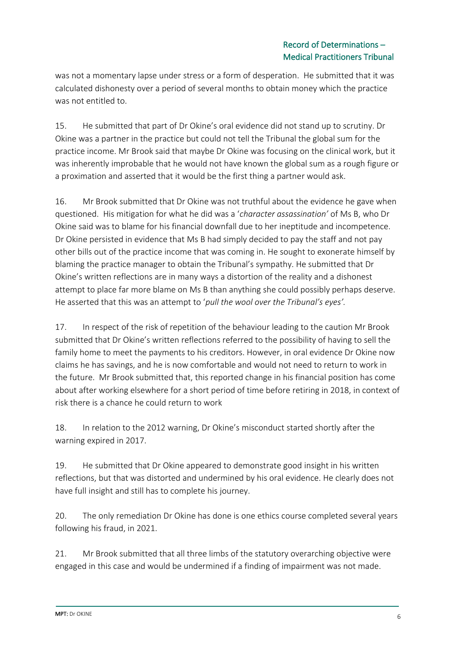was not a momentary lapse under stress or a form of desperation. He submitted that it was calculated dishonesty over a period of several months to obtain money which the practice was not entitled to.

15. He submitted that part of Dr Okine's oral evidence did not stand up to scrutiny. Dr Okine was a partner in the practice but could not tell the Tribunal the global sum for the practice income. Mr Brook said that maybe Dr Okine was focusing on the clinical work, but it was inherently improbable that he would not have known the global sum as a rough figure or a proximation and asserted that it would be the first thing a partner would ask.

16. Mr Brook submitted that Dr Okine was not truthful about the evidence he gave when questioned. His mitigation for what he did was a '*character assassination'* of Ms B, who Dr Okine said was to blame for his financial downfall due to her ineptitude and incompetence. Dr Okine persisted in evidence that Ms B had simply decided to pay the staff and not pay other bills out of the practice income that was coming in. He sought to exonerate himself by blaming the practice manager to obtain the Tribunal's sympathy. He submitted that Dr Okine's written reflections are in many ways a distortion of the reality and a dishonest attempt to place far more blame on Ms B than anything she could possibly perhaps deserve. He asserted that this was an attempt to '*pull the wool over the Tribunal's eyes'.* 

17. In respect of the risk of repetition of the behaviour leading to the caution Mr Brook submitted that Dr Okine's written reflections referred to the possibility of having to sell the family home to meet the payments to his creditors. However, in oral evidence Dr Okine now claims he has savings, and he is now comfortable and would not need to return to work in the future. Mr Brook submitted that, this reported change in his financial position has come about after working elsewhere for a short period of time before retiring in 2018, in context of risk there is a chance he could return to work

18. In relation to the 2012 warning, Dr Okine's misconduct started shortly after the warning expired in 2017.

19. He submitted that Dr Okine appeared to demonstrate good insight in his written reflections, but that was distorted and undermined by his oral evidence. He clearly does not have full insight and still has to complete his journey.

20. The only remediation Dr Okine has done is one ethics course completed several years following his fraud, in 2021.

21. Mr Brook submitted that all three limbs of the statutory overarching objective were engaged in this case and would be undermined if a finding of impairment was not made.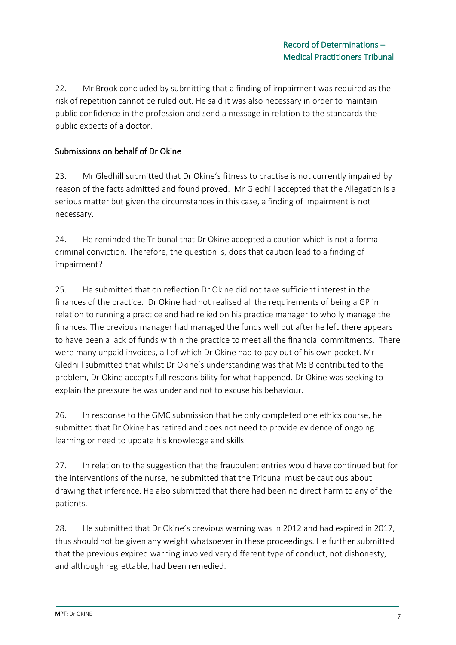22. Mr Brook concluded by submitting that a finding of impairment was required as the risk of repetition cannot be ruled out. He said it was also necessary in order to maintain public confidence in the profession and send a message in relation to the standards the public expects of a doctor.

# Submissions on behalf of Dr Okine

23. Mr Gledhill submitted that Dr Okine's fitness to practise is not currently impaired by reason of the facts admitted and found proved. Mr Gledhill accepted that the Allegation is a serious matter but given the circumstances in this case, a finding of impairment is not necessary.

24. He reminded the Tribunal that Dr Okine accepted a caution which is not a formal criminal conviction. Therefore, the question is, does that caution lead to a finding of impairment?

25. He submitted that on reflection Dr Okine did not take sufficient interest in the finances of the practice. Dr Okine had not realised all the requirements of being a GP in relation to running a practice and had relied on his practice manager to wholly manage the finances. The previous manager had managed the funds well but after he left there appears to have been a lack of funds within the practice to meet all the financial commitments. There were many unpaid invoices, all of which Dr Okine had to pay out of his own pocket. Mr Gledhill submitted that whilst Dr Okine's understanding was that Ms B contributed to the problem, Dr Okine accepts full responsibility for what happened. Dr Okine was seeking to explain the pressure he was under and not to excuse his behaviour.

26. In response to the GMC submission that he only completed one ethics course, he submitted that Dr Okine has retired and does not need to provide evidence of ongoing learning or need to update his knowledge and skills.

27. In relation to the suggestion that the fraudulent entries would have continued but for the interventions of the nurse, he submitted that the Tribunal must be cautious about drawing that inference. He also submitted that there had been no direct harm to any of the patients.

28. He submitted that Dr Okine's previous warning was in 2012 and had expired in 2017, thus should not be given any weight whatsoever in these proceedings. He further submitted that the previous expired warning involved very different type of conduct, not dishonesty, and although regrettable, had been remedied.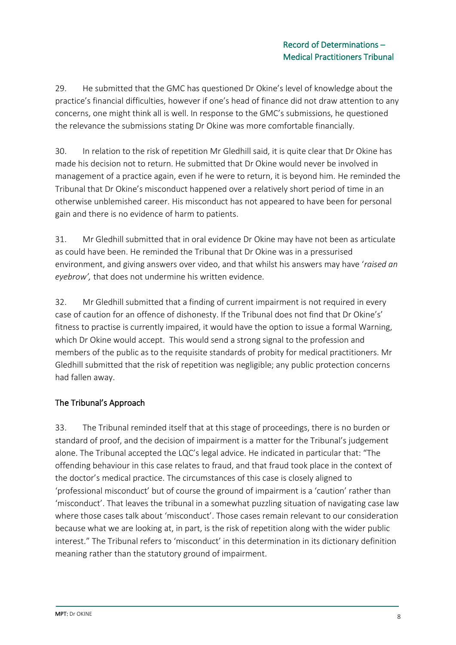29. He submitted that the GMC has questioned Dr Okine's level of knowledge about the practice's financial difficulties, however if one's head of finance did not draw attention to any concerns, one might think all is well. In response to the GMC's submissions, he questioned the relevance the submissions stating Dr Okine was more comfortable financially.

30. In relation to the risk of repetition Mr Gledhill said, it is quite clear that Dr Okine has made his decision not to return. He submitted that Dr Okine would never be involved in management of a practice again, even if he were to return, it is beyond him. He reminded the Tribunal that Dr Okine's misconduct happened over a relatively short period of time in an otherwise unblemished career. His misconduct has not appeared to have been for personal gain and there is no evidence of harm to patients.

31. Mr Gledhill submitted that in oral evidence Dr Okine may have not been as articulate as could have been. He reminded the Tribunal that Dr Okine was in a pressurised environment, and giving answers over video, and that whilst his answers may have '*raised an eyebrow',* that does not undermine his written evidence.

32. Mr Gledhill submitted that a finding of current impairment is not required in every case of caution for an offence of dishonesty. If the Tribunal does not find that Dr Okine's' fitness to practise is currently impaired, it would have the option to issue a formal Warning, which Dr Okine would accept. This would send a strong signal to the profession and members of the public as to the requisite standards of probity for medical practitioners. Mr Gledhill submitted that the risk of repetition was negligible; any public protection concerns had fallen away.

# The Tribunal's Approach

33. The Tribunal reminded itself that at this stage of proceedings, there is no burden or standard of proof, and the decision of impairment is a matter for the Tribunal's judgement alone. The Tribunal accepted the LQC's legal advice. He indicated in particular that: "The offending behaviour in this case relates to fraud, and that fraud took place in the context of the doctor's medical practice. The circumstances of this case is closely aligned to 'professional misconduct' but of course the ground of impairment is a 'caution' rather than 'misconduct'. That leaves the tribunal in a somewhat puzzling situation of navigating case law where those cases talk about 'misconduct'. Those cases remain relevant to our consideration because what we are looking at, in part, is the risk of repetition along with the wider public interest." The Tribunal refers to 'misconduct' in this determination in its dictionary definition meaning rather than the statutory ground of impairment.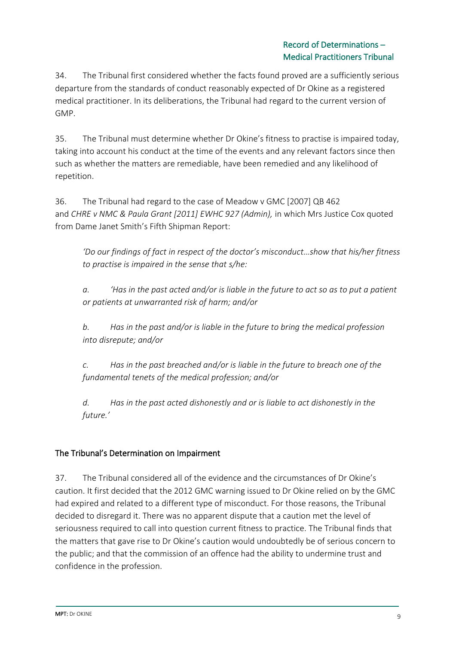34. The Tribunal first considered whether the facts found proved are a sufficiently serious departure from the standards of conduct reasonably expected of Dr Okine as a registered medical practitioner. In its deliberations, the Tribunal had regard to the current version of GMP.

35. The Tribunal must determine whether Dr Okine's fitness to practise is impaired today, taking into account his conduct at the time of the events and any relevant factors since then such as whether the matters are remediable, have been remedied and any likelihood of repetition.

36. The Tribunal had regard to the case of Meadow v GMC [2007] QB 462 and *CHRE v NMC & Paula Grant [2011] EWHC 927 (Admin),* in which Mrs Justice Cox quoted from Dame Janet Smith's Fifth Shipman Report:

*'Do our findings of fact in respect of the doctor's misconduct…show that his/her fitness to practise is impaired in the sense that s/he:*

*a. 'Has in the past acted and/or is liable in the future to act so as to put a patient or patients at unwarranted risk of harm; and/or*

*b. Has in the past and/or is liable in the future to bring the medical profession into disrepute; and/or*

*c. Has in the past breached and/or is liable in the future to breach one of the fundamental tenets of the medical profession; and/or*

*d. Has in the past acted dishonestly and or is liable to act dishonestly in the future.'*

# The Tribunal's Determination on Impairment

37. The Tribunal considered all of the evidence and the circumstances of Dr Okine's caution. It first decided that the 2012 GMC warning issued to Dr Okine relied on by the GMC had expired and related to a different type of misconduct. For those reasons, the Tribunal decided to disregard it. There was no apparent dispute that a caution met the level of seriousness required to call into question current fitness to practice. The Tribunal finds that the matters that gave rise to Dr Okine's caution would undoubtedly be of serious concern to the public; and that the commission of an offence had the ability to undermine trust and confidence in the profession.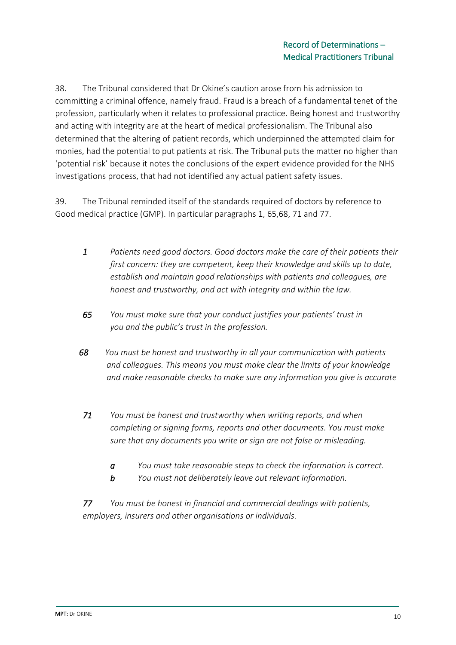38. The Tribunal considered that Dr Okine's caution arose from his admission to committing a criminal offence, namely fraud. Fraud is a breach of a fundamental tenet of the profession, particularly when it relates to professional practice. Being honest and trustworthy and acting with integrity are at the heart of medical professionalism. The Tribunal also determined that the altering of patient records, which underpinned the attempted claim for monies, had the potential to put patients at risk. The Tribunal puts the matter no higher than 'potential risk' because it notes the conclusions of the expert evidence provided for the NHS investigations process, that had not identified any actual patient safety issues.

39. The Tribunal reminded itself of the standards required of doctors by reference to Good medical practice (GMP). In particular paragraphs 1, 65,68, 71 and 77.

- *1 Patients need good doctors. Good doctors make the care of their patients their first concern: they are competent, keep their knowledge and skills up to date, establish and maintain good relationships with patients and colleagues, are honest and trustworthy, and act with integrity and within the law.*
- *65 You must make sure that your conduct justifies your patients' trust in you and the public's trust in the profession.*
- *68 You must be honest and trustworthy in all your communication with patients and colleagues. This means you must make clear the limits of your knowledge and make reasonable checks to make sure any information you give is accurate*
- *71 You must be honest and trustworthy when writing reports, and when completing or signing forms, reports and other documents. You must make sure that any documents you write or sign are not false or misleading.*
	- *a You must take reasonable steps to check the information is correct.*
	- *b You must not deliberately leave out relevant information.*

*77 You must be honest in financial and commercial dealings with patients, employers, insurers and other organisations or individuals*.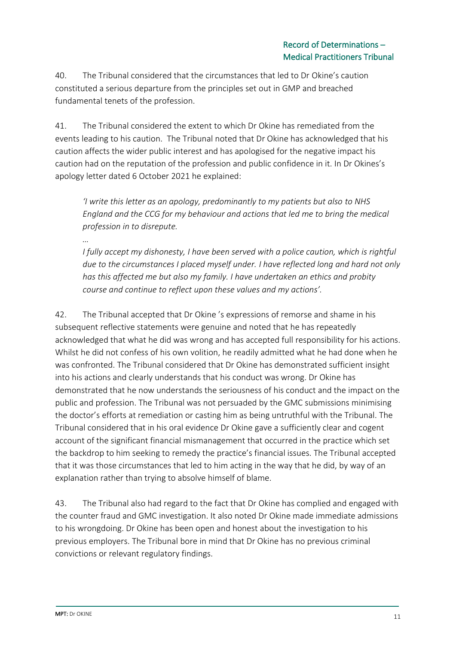40. The Tribunal considered that the circumstances that led to Dr Okine's caution constituted a serious departure from the principles set out in GMP and breached fundamental tenets of the profession.

41. The Tribunal considered the extent to which Dr Okine has remediated from the events leading to his caution. The Tribunal noted that Dr Okine has acknowledged that his caution affects the wider public interest and has apologised for the negative impact his caution had on the reputation of the profession and public confidence in it. In Dr Okines's apology letter dated 6 October 2021 he explained:

*'I write this letter as an apology, predominantly to my patients but also to NHS England and the CCG for my behaviour and actions that led me to bring the medical profession in to disrepute.*

*…*

*I fully accept my dishonesty, I have been served with a police caution, which is rightful due to the circumstances I placed myself under. I have reflected long and hard not only has this affected me but also my family. I have undertaken an ethics and probity course and continue to reflect upon these values and my actions'.*

42. The Tribunal accepted that Dr Okine 's expressions of remorse and shame in his subsequent reflective statements were genuine and noted that he has repeatedly acknowledged that what he did was wrong and has accepted full responsibility for his actions. Whilst he did not confess of his own volition, he readily admitted what he had done when he was confronted. The Tribunal considered that Dr Okine has demonstrated sufficient insight into his actions and clearly understands that his conduct was wrong. Dr Okine has demonstrated that he now understands the seriousness of his conduct and the impact on the public and profession. The Tribunal was not persuaded by the GMC submissions minimising the doctor's efforts at remediation or casting him as being untruthful with the Tribunal. The Tribunal considered that in his oral evidence Dr Okine gave a sufficiently clear and cogent account of the significant financial mismanagement that occurred in the practice which set the backdrop to him seeking to remedy the practice's financial issues. The Tribunal accepted that it was those circumstances that led to him acting in the way that he did, by way of an explanation rather than trying to absolve himself of blame.

43. The Tribunal also had regard to the fact that Dr Okine has complied and engaged with the counter fraud and GMC investigation. It also noted Dr Okine made immediate admissions to his wrongdoing. Dr Okine has been open and honest about the investigation to his previous employers. The Tribunal bore in mind that Dr Okine has no previous criminal convictions or relevant regulatory findings.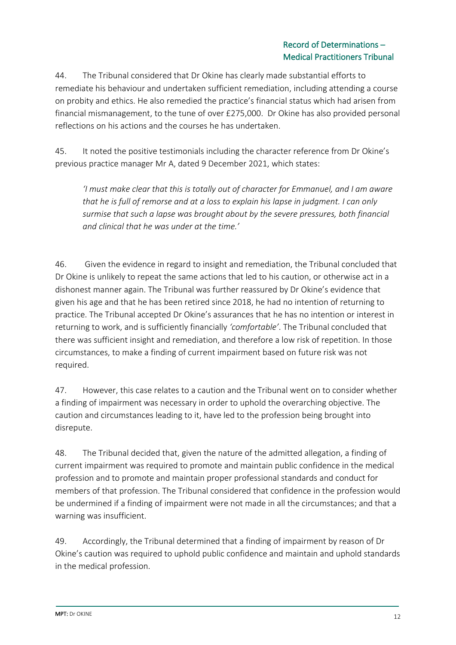44. The Tribunal considered that Dr Okine has clearly made substantial efforts to remediate his behaviour and undertaken sufficient remediation, including attending a course on probity and ethics. He also remedied the practice's financial status which had arisen from financial mismanagement, to the tune of over £275,000. Dr Okine has also provided personal reflections on his actions and the courses he has undertaken.

45. It noted the positive testimonials including the character reference from Dr Okine's previous practice manager Mr A, dated 9 December 2021, which states:

*'I must make clear that this is totally out of character for Emmanuel, and I am aware that he is full of remorse and at a loss to explain his lapse in judgment. I can only surmise that such a lapse was brought about by the severe pressures, both financial and clinical that he was under at the time.'*

46. Given the evidence in regard to insight and remediation, the Tribunal concluded that Dr Okine is unlikely to repeat the same actions that led to his caution, or otherwise act in a dishonest manner again. The Tribunal was further reassured by Dr Okine's evidence that given his age and that he has been retired since 2018, he had no intention of returning to practice. The Tribunal accepted Dr Okine's assurances that he has no intention or interest in returning to work, and is sufficiently financially *'comfortable'*. The Tribunal concluded that there was sufficient insight and remediation, and therefore a low risk of repetition. In those circumstances, to make a finding of current impairment based on future risk was not required.

47. However, this case relates to a caution and the Tribunal went on to consider whether a finding of impairment was necessary in order to uphold the overarching objective. The caution and circumstances leading to it, have led to the profession being brought into disrepute.

48. The Tribunal decided that, given the nature of the admitted allegation, a finding of current impairment was required to promote and maintain public confidence in the medical profession and to promote and maintain proper professional standards and conduct for members of that profession. The Tribunal considered that confidence in the profession would be undermined if a finding of impairment were not made in all the circumstances; and that a warning was insufficient.

49. Accordingly, the Tribunal determined that a finding of impairment by reason of Dr Okine's caution was required to uphold public confidence and maintain and uphold standards in the medical profession.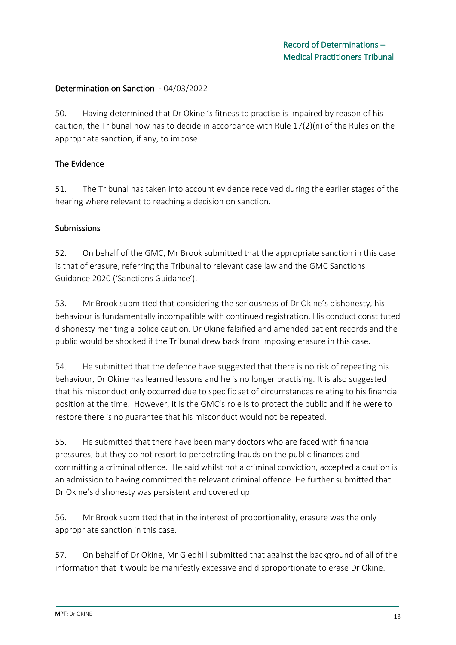## Determination on Sanction - 04/03/2022

50. Having determined that Dr Okine 's fitness to practise is impaired by reason of his caution, the Tribunal now has to decide in accordance with Rule 17(2)(n) of the Rules on the appropriate sanction, if any, to impose.

## The Evidence

51. The Tribunal has taken into account evidence received during the earlier stages of the hearing where relevant to reaching a decision on sanction.

#### **Submissions**

52. On behalf of the GMC, Mr Brook submitted that the appropriate sanction in this case is that of erasure, referring the Tribunal to relevant case law and the GMC Sanctions Guidance 2020 ('Sanctions Guidance').

53. Mr Brook submitted that considering the seriousness of Dr Okine's dishonesty, his behaviour is fundamentally incompatible with continued registration. His conduct constituted dishonesty meriting a police caution. Dr Okine falsified and amended patient records and the public would be shocked if the Tribunal drew back from imposing erasure in this case.

54. He submitted that the defence have suggested that there is no risk of repeating his behaviour, Dr Okine has learned lessons and he is no longer practising. It is also suggested that his misconduct only occurred due to specific set of circumstances relating to his financial position at the time. However, it is the GMC's role is to protect the public and if he were to restore there is no guarantee that his misconduct would not be repeated.

55. He submitted that there have been many doctors who are faced with financial pressures, but they do not resort to perpetrating frauds on the public finances and committing a criminal offence. He said whilst not a criminal conviction, accepted a caution is an admission to having committed the relevant criminal offence. He further submitted that Dr Okine's dishonesty was persistent and covered up.

56. Mr Brook submitted that in the interest of proportionality, erasure was the only appropriate sanction in this case.

57. On behalf of Dr Okine, Mr Gledhill submitted that against the background of all of the information that it would be manifestly excessive and disproportionate to erase Dr Okine.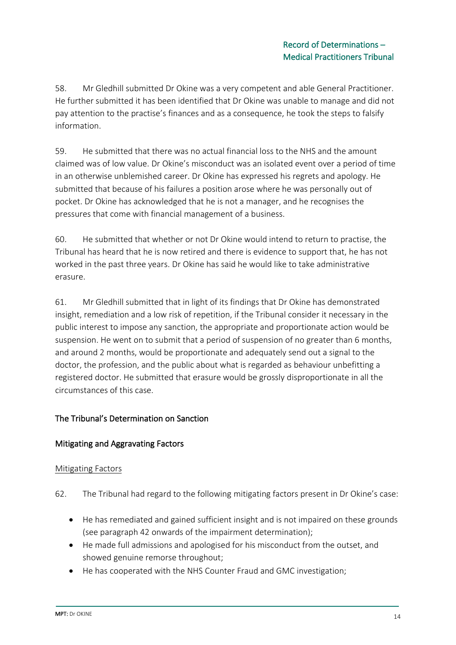58. Mr Gledhill submitted Dr Okine was a very competent and able General Practitioner. He further submitted it has been identified that Dr Okine was unable to manage and did not pay attention to the practise's finances and as a consequence, he took the steps to falsify information.

59. He submitted that there was no actual financial loss to the NHS and the amount claimed was of low value. Dr Okine's misconduct was an isolated event over a period of time in an otherwise unblemished career. Dr Okine has expressed his regrets and apology. He submitted that because of his failures a position arose where he was personally out of pocket. Dr Okine has acknowledged that he is not a manager, and he recognises the pressures that come with financial management of a business.

60. He submitted that whether or not Dr Okine would intend to return to practise, the Tribunal has heard that he is now retired and there is evidence to support that, he has not worked in the past three years. Dr Okine has said he would like to take administrative erasure.

61. Mr Gledhill submitted that in light of its findings that Dr Okine has demonstrated insight, remediation and a low risk of repetition, if the Tribunal consider it necessary in the public interest to impose any sanction, the appropriate and proportionate action would be suspension. He went on to submit that a period of suspension of no greater than 6 months, and around 2 months, would be proportionate and adequately send out a signal to the doctor, the profession, and the public about what is regarded as behaviour unbefitting a registered doctor. He submitted that erasure would be grossly disproportionate in all the circumstances of this case.

# The Tribunal's Determination on Sanction

# Mitigating and Aggravating Factors

#### Mitigating Factors

- 62. The Tribunal had regard to the following mitigating factors present in Dr Okine's case:
	- He has remediated and gained sufficient insight and is not impaired on these grounds (see paragraph 42 onwards of the impairment determination);
	- He made full admissions and apologised for his misconduct from the outset, and showed genuine remorse throughout;
	- He has cooperated with the NHS Counter Fraud and GMC investigation;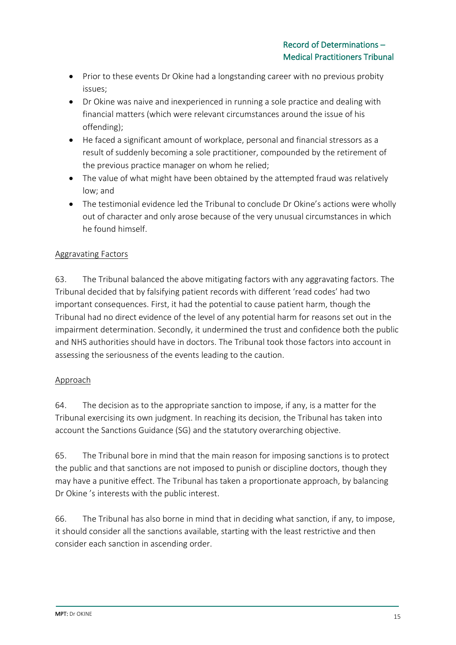- Prior to these events Dr Okine had a longstanding career with no previous probity issues;
- Dr Okine was naive and inexperienced in running a sole practice and dealing with financial matters (which were relevant circumstances around the issue of his offending);
- He faced a significant amount of workplace, personal and financial stressors as a result of suddenly becoming a sole practitioner, compounded by the retirement of the previous practice manager on whom he relied;
- The value of what might have been obtained by the attempted fraud was relatively low; and
- The testimonial evidence led the Tribunal to conclude Dr Okine's actions were wholly out of character and only arose because of the very unusual circumstances in which he found himself.

# Aggravating Factors

63. The Tribunal balanced the above mitigating factors with any aggravating factors. The Tribunal decided that by falsifying patient records with different 'read codes' had two important consequences. First, it had the potential to cause patient harm, though the Tribunal had no direct evidence of the level of any potential harm for reasons set out in the impairment determination. Secondly, it undermined the trust and confidence both the public and NHS authorities should have in doctors. The Tribunal took those factors into account in assessing the seriousness of the events leading to the caution.

# Approach

64. The decision as to the appropriate sanction to impose, if any, is a matter for the Tribunal exercising its own judgment. In reaching its decision, the Tribunal has taken into account the Sanctions Guidance (SG) and the statutory overarching objective.

65. The Tribunal bore in mind that the main reason for imposing sanctions is to protect the public and that sanctions are not imposed to punish or discipline doctors, though they may have a punitive effect. The Tribunal has taken a proportionate approach, by balancing Dr Okine 's interests with the public interest.

66. The Tribunal has also borne in mind that in deciding what sanction, if any, to impose, it should consider all the sanctions available, starting with the least restrictive and then consider each sanction in ascending order.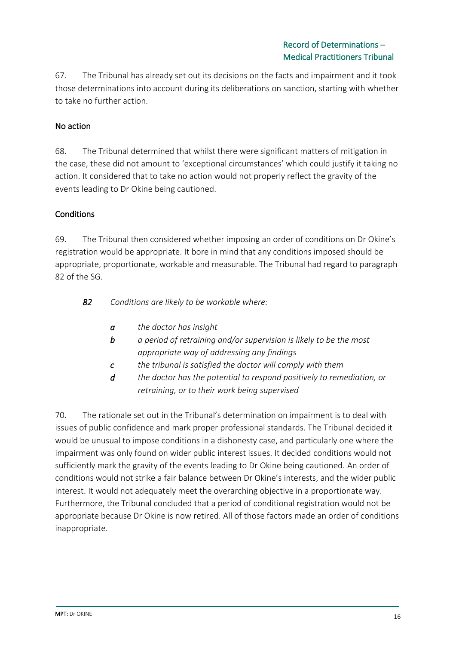67. The Tribunal has already set out its decisions on the facts and impairment and it took those determinations into account during its deliberations on sanction, starting with whether to take no further action.

## No action

68. The Tribunal determined that whilst there were significant matters of mitigation in the case, these did not amount to 'exceptional circumstances' which could justify it taking no action. It considered that to take no action would not properly reflect the gravity of the events leading to Dr Okine being cautioned.

#### **Conditions**

69. The Tribunal then considered whether imposing an order of conditions on Dr Okine's registration would be appropriate. It bore in mind that any conditions imposed should be appropriate, proportionate, workable and measurable. The Tribunal had regard to paragraph 82 of the SG.

*82 Conditions are likely to be workable where:*

- *a the doctor has insight*
- *b a period of retraining and/or supervision is likely to be the most appropriate way of addressing any findings*
- *c the tribunal is satisfied the doctor will comply with them*
- *d the doctor has the potential to respond positively to remediation, or retraining, or to their work being supervised*

70. The rationale set out in the Tribunal's determination on impairment is to deal with issues of public confidence and mark proper professional standards. The Tribunal decided it would be unusual to impose conditions in a dishonesty case, and particularly one where the impairment was only found on wider public interest issues. It decided conditions would not sufficiently mark the gravity of the events leading to Dr Okine being cautioned. An order of conditions would not strike a fair balance between Dr Okine's interests, and the wider public interest. It would not adequately meet the overarching objective in a proportionate way. Furthermore, the Tribunal concluded that a period of conditional registration would not be appropriate because Dr Okine is now retired. All of those factors made an order of conditions inappropriate.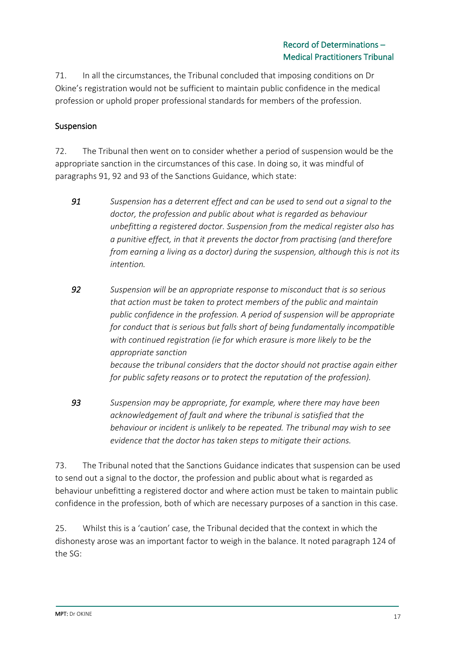71. In all the circumstances, the Tribunal concluded that imposing conditions on Dr Okine's registration would not be sufficient to maintain public confidence in the medical profession or uphold proper professional standards for members of the profession.

# Suspension

72. The Tribunal then went on to consider whether a period of suspension would be the appropriate sanction in the circumstances of this case. In doing so, it was mindful of paragraphs 91, 92 and 93 of the Sanctions Guidance, which state:

- *91 Suspension has a deterrent effect and can be used to send out a signal to the doctor, the profession and public about what is regarded as behaviour unbefitting a registered doctor. Suspension from the medical register also has a punitive effect, in that it prevents the doctor from practising (and therefore from earning a living as a doctor) during the suspension, although this is not its intention.*
- *92 Suspension will be an appropriate response to misconduct that is so serious that action must be taken to protect members of the public and maintain public confidence in the profession. A period of suspension will be appropriate for conduct that is serious but falls short of being fundamentally incompatible with continued registration (ie for which erasure is more likely to be the appropriate sanction because the tribunal considers that the doctor should not practise again either for public safety reasons or to protect the reputation of the profession).*
- *93 Suspension may be appropriate, for example, where there may have been acknowledgement of fault and where the tribunal is satisfied that the behaviour or incident is unlikely to be repeated. The tribunal may wish to see evidence that the doctor has taken steps to mitigate their actions.*

73. The Tribunal noted that the Sanctions Guidance indicates that suspension can be used to send out a signal to the doctor, the profession and public about what is regarded as behaviour unbefitting a registered doctor and where action must be taken to maintain public confidence in the profession, both of which are necessary purposes of a sanction in this case.

25. Whilst this is a 'caution' case, the Tribunal decided that the context in which the dishonesty arose was an important factor to weigh in the balance. It noted paragraph 124 of the SG: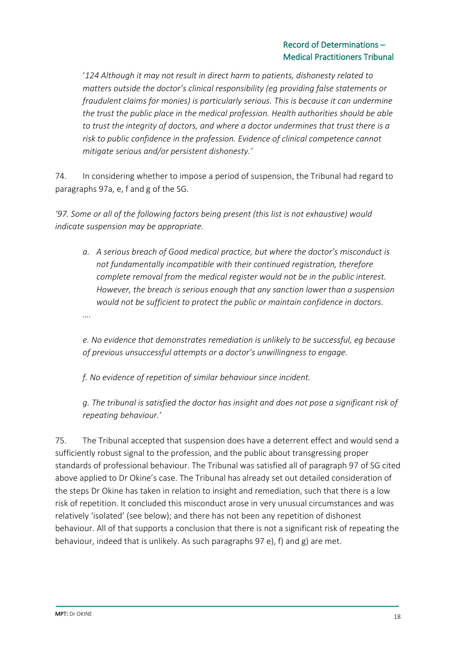'*124 Although it may not result in direct harm to patients, dishonesty related to matters outside the doctor's clinical responsibility (eg providing false statements or fraudulent claims for monies) is particularly serious. This is because it can undermine the trust the public place in the medical profession. Health authorities should be able to trust the integrity of doctors, and where a doctor undermines that trust there is a risk to public confidence in the profession. Evidence of clinical competence cannot mitigate serious and/or persistent dishonesty.'*

74. In considering whether to impose a period of suspension, the Tribunal had regard to paragraphs 97a, e, f and g of the SG.

*'97. Some or all of the following factors being present (this list is not exhaustive) would indicate suspension may be appropriate.*

*a. A serious breach of Good medical practice, but where the doctor's misconduct is not fundamentally incompatible with their continued registration, therefore complete removal from the medical register would not be in the public interest. However, the breach is serious enough that any sanction lower than a suspension would not be sufficient to protect the public or maintain confidence in doctors.*

*….*

*e. No evidence that demonstrates remediation is unlikely to be successful, eg because of previous unsuccessful attempts or a doctor's unwillingness to engage.*

*f. No evidence of repetition of similar behaviour since incident.*

*g. The tribunal is satisfied the doctor has insight and does not pose a significant risk of repeating behaviour.'*

75. The Tribunal accepted that suspension does have a deterrent effect and would send a sufficiently robust signal to the profession, and the public about transgressing proper standards of professional behaviour. The Tribunal was satisfied all of paragraph 97 of SG cited above applied to Dr Okine's case. The Tribunal has already set out detailed consideration of the steps Dr Okine has taken in relation to insight and remediation, such that there is a low risk of repetition. It concluded this misconduct arose in very unusual circumstances and was relatively 'isolated' (see below); and there has not been any repetition of dishonest behaviour. All of that supports a conclusion that there is not a significant risk of repeating the behaviour, indeed that is unlikely. As such paragraphs 97 e), f) and g) are met.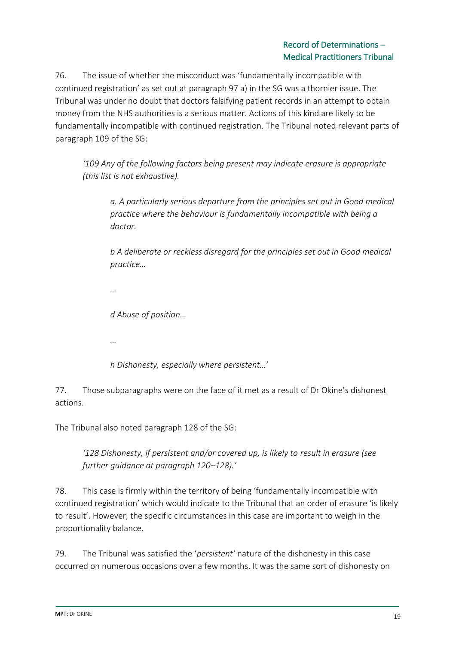76. The issue of whether the misconduct was 'fundamentally incompatible with continued registration' as set out at paragraph 97 a) in the SG was a thornier issue. The Tribunal was under no doubt that doctors falsifying patient records in an attempt to obtain money from the NHS authorities is a serious matter. Actions of this kind are likely to be fundamentally incompatible with continued registration. The Tribunal noted relevant parts of paragraph 109 of the SG:

*'109 Any of the following factors being present may indicate erasure is appropriate (this list is not exhaustive).* 

*a. A particularly serious departure from the principles set out in Good medical practice where the behaviour is fundamentally incompatible with being a doctor.*

*b A deliberate or reckless disregard for the principles set out in Good medical practice…*

*…*

*d Abuse of position…*

*…*

*h Dishonesty, especially where persistent…*'

77. Those subparagraphs were on the face of it met as a result of Dr Okine's dishonest actions.

The Tribunal also noted paragraph 128 of the SG:

*'128 Dishonesty, if persistent and/or covered up, is likely to result in erasure (see further guidance at paragraph 120–128).'*

78. This case is firmly within the territory of being 'fundamentally incompatible with continued registration' which would indicate to the Tribunal that an order of erasure 'is likely to result'. However, the specific circumstances in this case are important to weigh in the proportionality balance.

79. The Tribunal was satisfied the '*persistent'* nature of the dishonesty in this case occurred on numerous occasions over a few months. It was the same sort of dishonesty on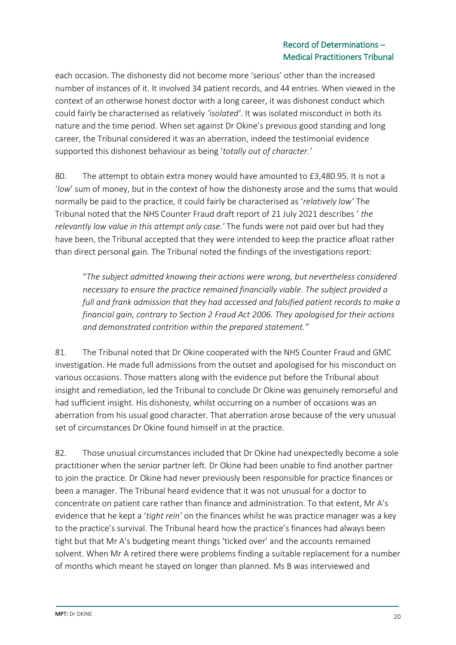each occasion. The dishonesty did not become more 'serious' other than the increased number of instances of it. It involved 34 patient records, and 44 entries. When viewed in the context of an otherwise honest doctor with a long career, it was dishonest conduct which could fairly be characterised as relatively *'isolated'*. It was isolated misconduct in both its nature and the time period. When set against Dr Okine's previous good standing and long career, the Tribunal considered it was an aberration, indeed the testimonial evidence supported this dishonest behaviour as being '*totally out of character.'*

80. The attempt to obtain extra money would have amounted to £3,480.95. It is not a '*low*' sum of money, but in the context of how the dishonesty arose and the sums that would normally be paid to the practice, it could fairly be characterised as '*relatively low'* The Tribunal noted that the NHS Counter Fraud draft report of 21 July 2021 describes ' *the relevantly low value in this attempt only case.'* The funds were not paid over but had they have been, the Tribunal accepted that they were intended to keep the practice afloat rather than direct personal gain. The Tribunal noted the findings of the investigations report:

"*The subject admitted knowing their actions were wrong, but nevertheless considered necessary to ensure the practice remained financially viable. The subject provided a full and frank admission that they had accessed and falsified patient records to make a financial gain, contrary to Section 2 Fraud Act 2006. They apologised for their actions and demonstrated contrition within the prepared statement."*

81. The Tribunal noted that Dr Okine cooperated with the NHS Counter Fraud and GMC investigation. He made full admissions from the outset and apologised for his misconduct on various occasions. Those matters along with the evidence put before the Tribunal about insight and remediation, led the Tribunal to conclude Dr Okine was genuinely remorseful and had sufficient insight. His dishonesty, whilst occurring on a number of occasions was an aberration from his usual good character. That aberration arose because of the very unusual set of circumstances Dr Okine found himself in at the practice.

82. Those unusual circumstances included that Dr Okine had unexpectedly become a sole practitioner when the senior partner left. Dr Okine had been unable to find another partner to join the practice. Dr Okine had never previously been responsible for practice finances or been a manager. The Tribunal heard evidence that it was not unusual for a doctor to concentrate on patient care rather than finance and administration. To that extent, Mr A's evidence that he kept a '*tight rein'* on the finances whilst he was practice manager was a key to the practice's survival. The Tribunal heard how the practice's finances had always been tight but that Mr A's budgeting meant things 'ticked over' and the accounts remained solvent. When Mr A retired there were problems finding a suitable replacement for a number of months which meant he stayed on longer than planned. Ms B was interviewed and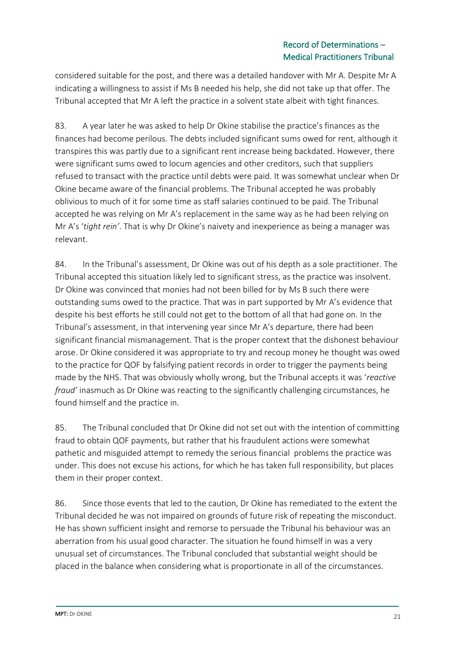considered suitable for the post, and there was a detailed handover with Mr A. Despite Mr A indicating a willingness to assist if Ms B needed his help, she did not take up that offer. The Tribunal accepted that Mr A left the practice in a solvent state albeit with tight finances.

83. A year later he was asked to help Dr Okine stabilise the practice's finances as the finances had become perilous. The debts included significant sums owed for rent, although it transpires this was partly due to a significant rent increase being backdated. However, there were significant sums owed to locum agencies and other creditors, such that suppliers refused to transact with the practice until debts were paid. It was somewhat unclear when Dr Okine became aware of the financial problems. The Tribunal accepted he was probably oblivious to much of it for some time as staff salaries continued to be paid. The Tribunal accepted he was relying on Mr A's replacement in the same way as he had been relying on Mr A's '*tight rein'*. That is why Dr Okine's naivety and inexperience as being a manager was relevant.

84. In the Tribunal's assessment, Dr Okine was out of his depth as a sole practitioner. The Tribunal accepted this situation likely led to significant stress, as the practice was insolvent. Dr Okine was convinced that monies had not been billed for by Ms B such there were outstanding sums owed to the practice. That was in part supported by Mr A's evidence that despite his best efforts he still could not get to the bottom of all that had gone on. In the Tribunal's assessment, in that intervening year since Mr A's departure, there had been significant financial mismanagement. That is the proper context that the dishonest behaviour arose. Dr Okine considered it was appropriate to try and recoup money he thought was owed to the practice for QOF by falsifying patient records in order to trigger the payments being made by the NHS. That was obviously wholly wrong, but the Tribunal accepts it was '*reactive fraud'* inasmuch as Dr Okine was reacting to the significantly challenging circumstances, he found himself and the practice in.

85. The Tribunal concluded that Dr Okine did not set out with the intention of committing fraud to obtain QOF payments, but rather that his fraudulent actions were somewhat pathetic and misguided attempt to remedy the serious financial problems the practice was under. This does not excuse his actions, for which he has taken full responsibility, but places them in their proper context.

86. Since those events that led to the caution, Dr Okine has remediated to the extent the Tribunal decided he was not impaired on grounds of future risk of repeating the misconduct. He has shown sufficient insight and remorse to persuade the Tribunal his behaviour was an aberration from his usual good character. The situation he found himself in was a very unusual set of circumstances. The Tribunal concluded that substantial weight should be placed in the balance when considering what is proportionate in all of the circumstances.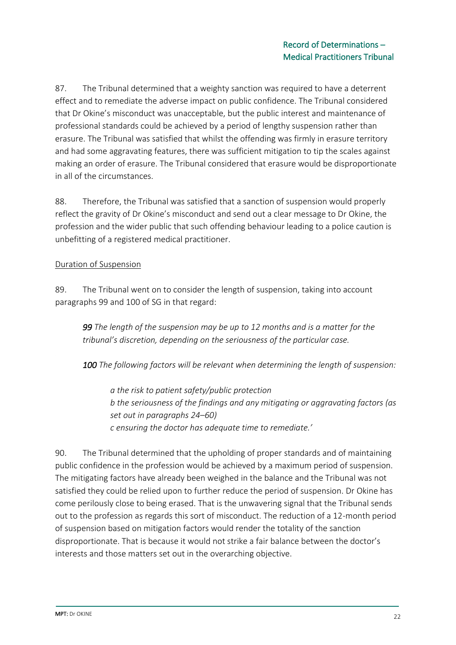87. The Tribunal determined that a weighty sanction was required to have a deterrent effect and to remediate the adverse impact on public confidence. The Tribunal considered that Dr Okine's misconduct was unacceptable, but the public interest and maintenance of professional standards could be achieved by a period of lengthy suspension rather than erasure. The Tribunal was satisfied that whilst the offending was firmly in erasure territory and had some aggravating features, there was sufficient mitigation to tip the scales against making an order of erasure. The Tribunal considered that erasure would be disproportionate in all of the circumstances.

88. Therefore, the Tribunal was satisfied that a sanction of suspension would properly reflect the gravity of Dr Okine's misconduct and send out a clear message to Dr Okine, the profession and the wider public that such offending behaviour leading to a police caution is unbefitting of a registered medical practitioner.

## Duration of Suspension

89. The Tribunal went on to consider the length of suspension, taking into account paragraphs 99 and 100 of SG in that regard:

*99 The length of the suspension may be up to 12 months and is a matter for the tribunal's discretion, depending on the seriousness of the particular case.* 

*100 The following factors will be relevant when determining the length of suspension:* 

*a the risk to patient safety/public protection b the seriousness of the findings and any mitigating or aggravating factors (as set out in paragraphs 24–60) c ensuring the doctor has adequate time to remediate.'*

90. The Tribunal determined that the upholding of proper standards and of maintaining public confidence in the profession would be achieved by a maximum period of suspension. The mitigating factors have already been weighed in the balance and the Tribunal was not satisfied they could be relied upon to further reduce the period of suspension. Dr Okine has come perilously close to being erased. That is the unwavering signal that the Tribunal sends out to the profession as regards this sort of misconduct. The reduction of a 12-month period of suspension based on mitigation factors would render the totality of the sanction disproportionate. That is because it would not strike a fair balance between the doctor's interests and those matters set out in the overarching objective.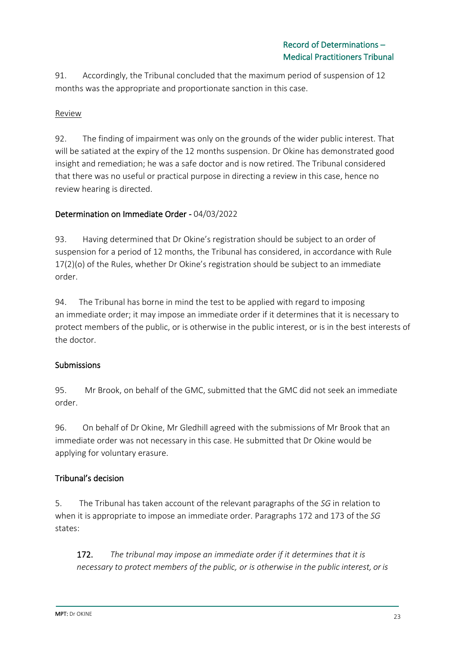91. Accordingly, the Tribunal concluded that the maximum period of suspension of 12 months was the appropriate and proportionate sanction in this case.

# Review

92. The finding of impairment was only on the grounds of the wider public interest. That will be satiated at the expiry of the 12 months suspension. Dr Okine has demonstrated good insight and remediation; he was a safe doctor and is now retired. The Tribunal considered that there was no useful or practical purpose in directing a review in this case, hence no review hearing is directed.

## Determination on Immediate Order - 04/03/2022

93. Having determined that Dr Okine's registration should be subject to an order of suspension for a period of 12 months, the Tribunal has considered, in accordance with Rule 17(2)(o) of the Rules, whether Dr Okine's registration should be subject to an immediate order.

94. The Tribunal has borne in mind the test to be applied with regard to imposing an immediate order; it may impose an immediate order if it determines that it is necessary to protect members of the public, or is otherwise in the public interest, or is in the best interests of the doctor.

#### Submissions

95. Mr Brook, on behalf of the GMC, submitted that the GMC did not seek an immediate order.

96. On behalf of Dr Okine, Mr Gledhill agreed with the submissions of Mr Brook that an immediate order was not necessary in this case. He submitted that Dr Okine would be applying for voluntary erasure.

# Tribunal's decision

5. The Tribunal has taken account of the relevant paragraphs of the *SG* in relation to when it is appropriate to impose an immediate order. Paragraphs 172 and 173 of the *SG* states:

172. *The tribunal may impose an immediate order if it determines that it is necessary to protect members of the public, or is otherwise in the public interest, or is*